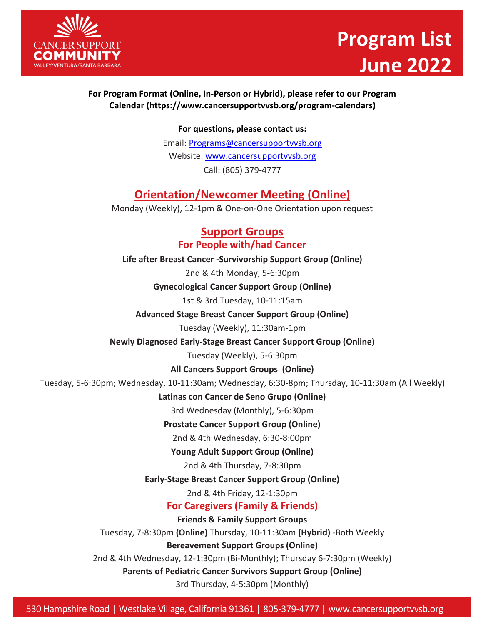

# **Program List June 2022**

#### **For Program Format (Online, In-Person or Hybrid), please refer to our Program [Calendar \(https://www.cancersupportvvsb.org/program-calendars\)](http://www.cancersupportvvsb.org/program-calendars))**

**For questions, please contact us:**

Email: [Programs@cancersupportvvsb.org](mailto:Programs@cancersupportvvsb.org) Website: [www.cancersupportvvsb.org](http://www.cancersupportvvsb.org/) Call: (805) 379-4777

# **Orientation/Newcomer Meeting (Online)**

Monday (Weekly), 12-1pm & One-on-One Orientation upon request

#### **Support Groups For People with/had Cancer**

**Life after Breast Cancer -Survivorship Support Group (Online)**

2nd & 4th Monday, 5-6:30pm

**Gynecological Cancer Support Group (Online)**

1st & 3rd Tuesday, 10-11:15am

**Advanced Stage Breast Cancer Support Group (Online)**

Tuesday (Weekly), 11:30am-1pm

**Newly Diagnosed Early-Stage Breast Cancer Support Group (Online)**

Tuesday (Weekly), 5-6:30pm

**All Cancers Support Groups (Online)**

Tuesday, 5-6:30pm; Wednesday, 10-11:30am; Wednesday, 6:30-8pm; Thursday, 10-11:30am (All Weekly)

**Latinas con Cancer de Seno Grupo (Online)** 

3rd Wednesday (Monthly), 5-6:30pm

**Prostate Cancer Support Group (Online)** 

2nd & 4th Wednesday, 6:30-8:00pm

**Young Adult Support Group (Online)**

2nd & 4th Thursday, 7-8:30pm

**Early-Stage Breast Cancer Support Group (Online)**

2nd & 4th Friday, 12-1:30pm

**For Caregivers (Family & Friends)**

**Friends & Family Support Groups**

Tuesday, 7-8:30pm **(Online)** Thursday, 10-11:30am **(Hybrid)** -Both Weekly

**Bereavement Support Groups (Online)**

2nd & 4th Wednesday, 12-1:30pm (Bi-Monthly); Thursday 6-7:30pm (Weekly)

**Parents of Pediatric Cancer Survivors Support Group (Online)**

3rd Thursday, 4-5:30pm (Monthly)